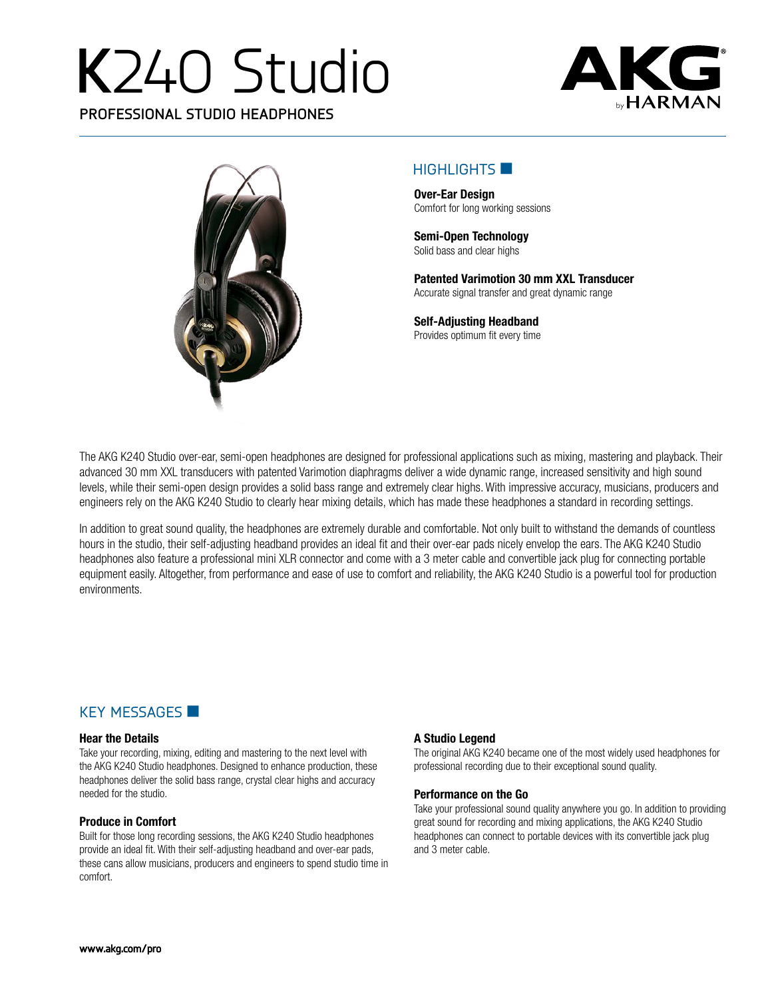# **K**240 Studio

**PROFESSIONAL STUDIO HEADPHONES**





#### $H$ IGHLIGHTS  $\blacksquare$

**Over-Ear Design** Comfort for long working sessions

**Semi-Open Technology** Solid bass and clear highs

**Patented Varimotion 30 mm XXL Transducer** Accurate signal transfer and great dynamic range

**Self-Adjusting Headband** Provides optimum fit every time

The AKG K240 Studio over-ear, semi-open headphones are designed for professional applications such as mixing, mastering and playback. Their advanced 30 mm XXL transducers with patented Varimotion diaphragms deliver a wide dynamic range, increased sensitivity and high sound levels, while their semi-open design provides a solid bass range and extremely clear highs. With impressive accuracy, musicians, producers and engineers rely on the AKG K240 Studio to clearly hear mixing details, which has made these headphones a standard in recording settings.

In addition to great sound quality, the headphones are extremely durable and comfortable. Not only built to withstand the demands of countless hours in the studio, their self-adjusting headband provides an ideal fit and their over-ear pads nicely envelop the ears. The AKG K240 Studio headphones also feature a professional mini XLR connector and come with a 3 meter cable and convertible jack plug for connecting portable equipment easily. Altogether, from performance and ease of use to comfort and reliability, the AKG K240 Studio is a powerful tool for production environments.

## $KEY$  MESSAGES

#### **Hear the Details**

Take your recording, mixing, editing and mastering to the next level with the AKG K240 Studio headphones. Designed to enhance production, these headphones deliver the solid bass range, crystal clear highs and accuracy needed for the studio.

#### **Produce in Comfort**

Built for those long recording sessions, the AKG K240 Studio headphones provide an ideal fit. With their self-adjusting headband and over-ear pads, these cans allow musicians, producers and engineers to spend studio time in comfort.

#### **A Studio Legend**

The original AKG K240 became one of the most widely used headphones for professional recording due to their exceptional sound quality.

#### **Performance on the Go**

Take your professional sound quality anywhere you go. In addition to providing great sound for recording and mixing applications, the AKG K240 Studio headphones can connect to portable devices with its convertible jack plug and 3 meter cable.